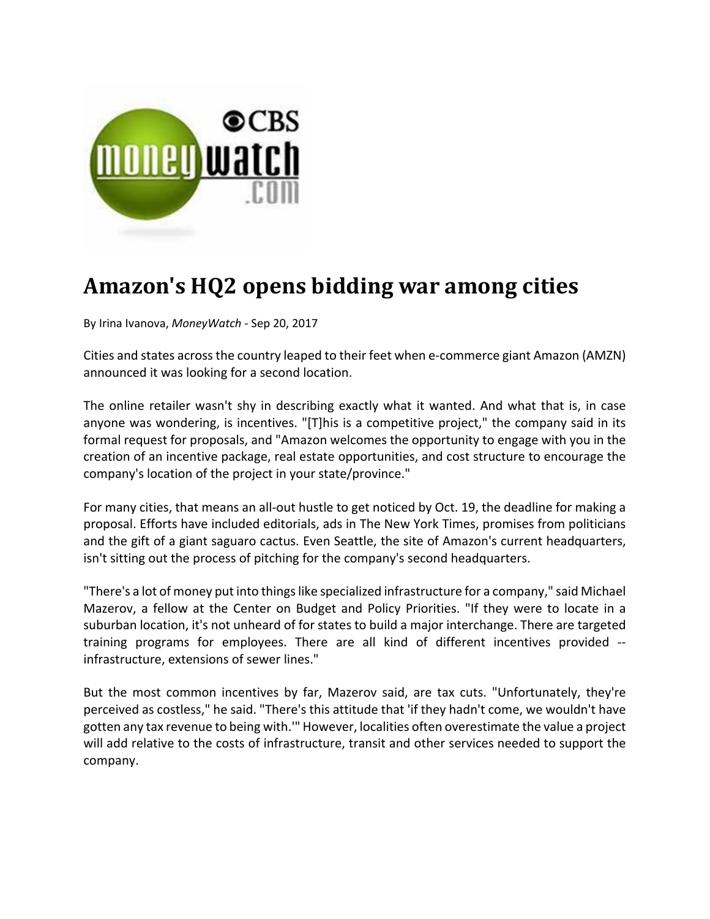

## **Amazon's HQ2 opens bidding war among cities**

By Irina Ivanova, *MoneyWatch* ‐ Sep 20, 2017

Cities and states acrossthe country leaped to their feet when e‐commerce giant Amazon (AMZN) announced it was looking for a second location.

The online retailer wasn't shy in describing exactly what it wanted. And what that is, in case anyone was wondering, is incentives. "[T]his is a competitive project," the company said in its formal request for proposals, and "Amazon welcomes the opportunity to engage with you in the creation of an incentive package, real estate opportunities, and cost structure to encourage the company's location of the project in your state/province."

For many cities, that means an all‐out hustle to get noticed by Oct. 19, the deadline for making a proposal. Efforts have included editorials, ads in The New York Times, promises from politicians and the gift of a giant saguaro cactus. Even Seattle, the site of Amazon's current headquarters, isn't sitting out the process of pitching for the company's second headquarters.

"There's a lot of money put into thingslike specialized infrastructure for a company," said Michael Mazerov, a fellow at the Center on Budget and Policy Priorities. "If they were to locate in a suburban location, it's not unheard of for states to build a major interchange. There are targeted training programs for employees. There are all kind of different incentives provided ‐‐ infrastructure, extensions of sewer lines."

But the most common incentives by far, Mazerov said, are tax cuts. "Unfortunately, they're perceived as costless," he said. "There's this attitude that 'if they hadn't come, we wouldn't have gotten any tax revenue to being with.'" However, localities often overestimate the value a project will add relative to the costs of infrastructure, transit and other services needed to support the company.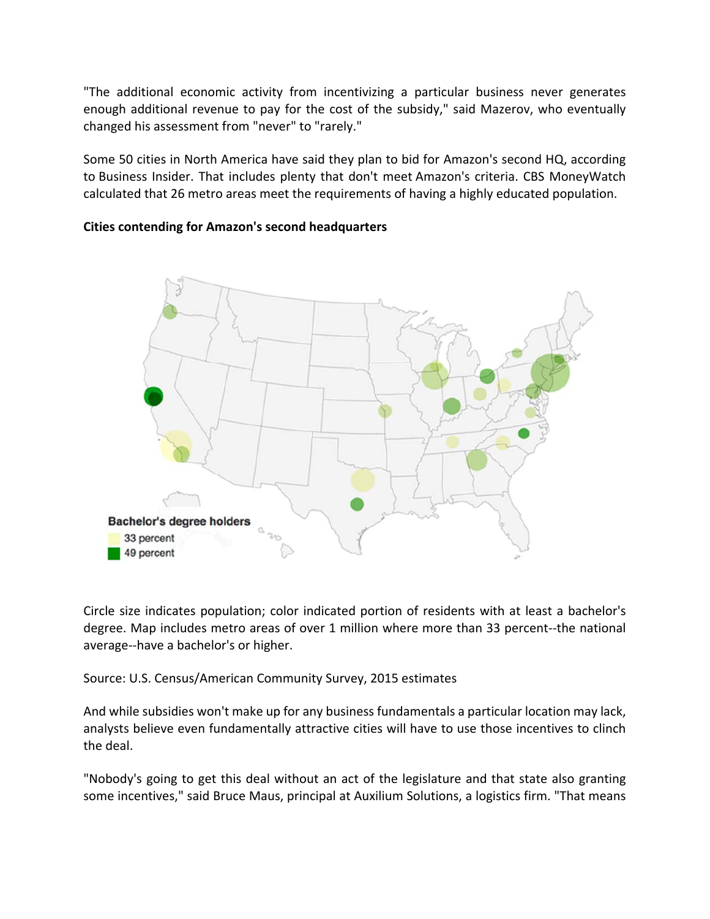"The additional economic activity from incentivizing a particular business never generates enough additional revenue to pay for the cost of the subsidy," said Mazerov, who eventually changed his assessment from "never" to "rarely."

Some 50 cities in North America have said they plan to bid for Amazon's second HQ, according to Business Insider. That includes plenty that don't meet Amazon's criteria. CBS MoneyWatch calculated that 26 metro areas meet the requirements of having a highly educated population.

## **Cities contending for Amazon's second headquarters**



Circle size indicates population; color indicated portion of residents with at least a bachelor's degree. Map includes metro areas of over 1 million where more than 33 percent‐‐the national average‐‐have a bachelor's or higher.

Source: U.S. Census/American Community Survey, 2015 estimates

And while subsidies won't make up for any business fundamentals a particular location may lack, analysts believe even fundamentally attractive cities will have to use those incentives to clinch the deal.

"Nobody's going to get this deal without an act of the legislature and that state also granting some incentives," said Bruce Maus, principal at Auxilium Solutions, a logistics firm. "That means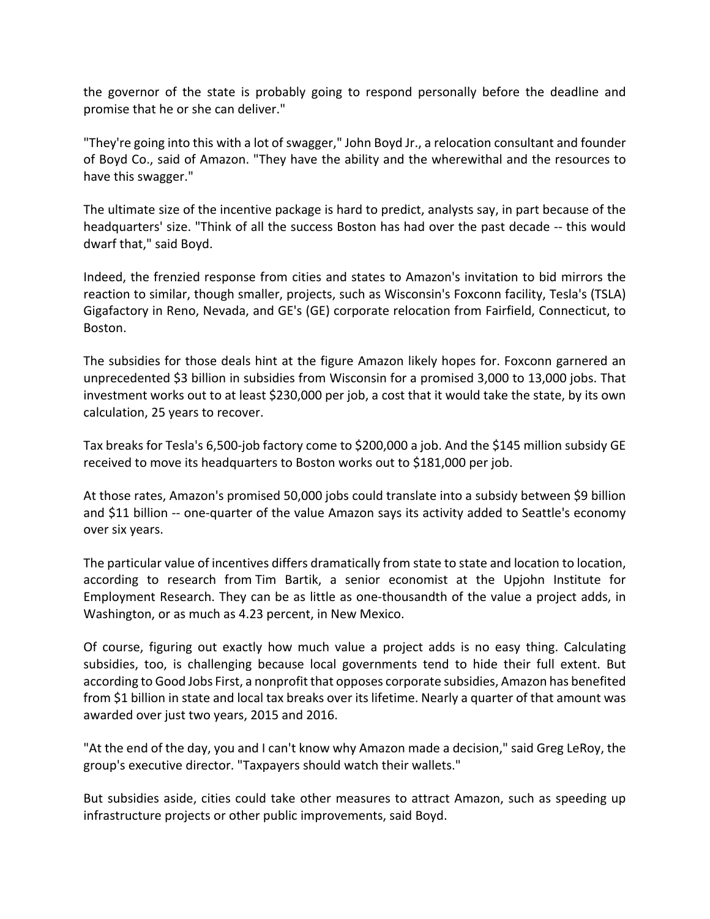the governor of the state is probably going to respond personally before the deadline and promise that he or she can deliver."

"They're going into this with a lot of swagger," John Boyd Jr., a relocation consultant and founder of Boyd Co., said of Amazon. "They have the ability and the wherewithal and the resources to have this swagger."

The ultimate size of the incentive package is hard to predict, analysts say, in part because of the headquarters' size. "Think of all the success Boston has had over the past decade -- this would dwarf that," said Boyd.

Indeed, the frenzied response from cities and states to Amazon's invitation to bid mirrors the reaction to similar, though smaller, projects, such as Wisconsin's Foxconn facility, Tesla's (TSLA) Gigafactory in Reno, Nevada, and GE's (GE) corporate relocation from Fairfield, Connecticut, to Boston.

The subsidies for those deals hint at the figure Amazon likely hopes for. Foxconn garnered an unprecedented \$3 billion in subsidies from Wisconsin for a promised 3,000 to 13,000 jobs. That investment works out to at least \$230,000 per job, a cost that it would take the state, by its own calculation, 25 years to recover.

Tax breaks for Tesla's 6,500‐job factory come to \$200,000 a job. And the \$145 million subsidy GE received to move its headquarters to Boston works out to \$181,000 per job.

At those rates, Amazon's promised 50,000 jobs could translate into a subsidy between \$9 billion and \$11 billion -- one-quarter of the value Amazon says its activity added to Seattle's economy over six years.

The particular value of incentives differs dramatically from state to state and location to location, according to research from Tim Bartik, a senior economist at the Upjohn Institute for Employment Research. They can be as little as one‐thousandth of the value a project adds, in Washington, or as much as 4.23 percent, in New Mexico.

Of course, figuring out exactly how much value a project adds is no easy thing. Calculating subsidies, too, is challenging because local governments tend to hide their full extent. But according to Good Jobs First, a nonprofit that opposes corporate subsidies, Amazon has benefited from \$1 billion in state and local tax breaks over its lifetime. Nearly a quarter of that amount was awarded over just two years, 2015 and 2016.

"At the end of the day, you and I can't know why Amazon made a decision," said Greg LeRoy, the group's executive director. "Taxpayers should watch their wallets."

But subsidies aside, cities could take other measures to attract Amazon, such as speeding up infrastructure projects or other public improvements, said Boyd.